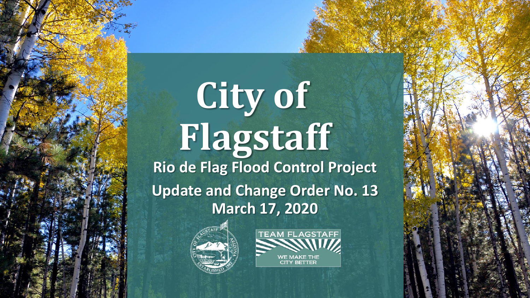## City of **Flagstaff Rio de Flag Flood Control Project Update and Change Order No. 13 March 17, 2020**



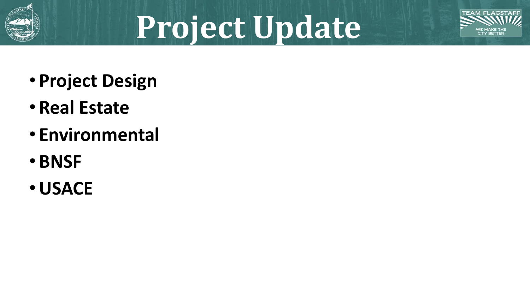

## **Project Update**



- **Project Design**
- **Real Estate**
- **Environmental**
- **BNSF**
- •**USACE**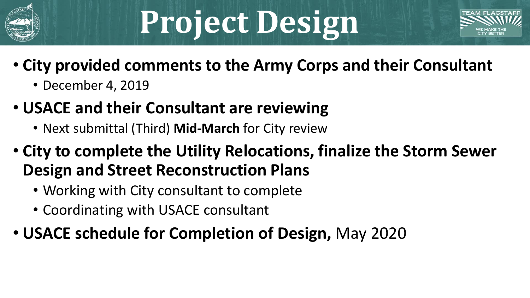

# **Project Design**



- **City provided comments to the Army Corps and their Consultant**
	- December 4, 2019
- **USACE and their Consultant are reviewing**
	- Next submittal (Third) **Mid-March** for City review
- **City to complete the Utility Relocations, finalize the Storm Sewer Design and Street Reconstruction Plans**
	- Working with City consultant to complete
	- Coordinating with USACE consultant
- **USACE schedule for Completion of Design,** May 2020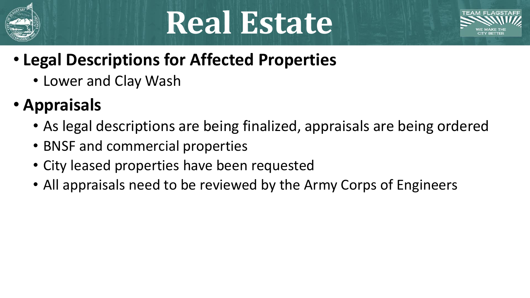

## **Real Estate**



- **Legal Descriptions for Affected Properties**
	- Lower and Clay Wash
- **Appraisals** 
	- As legal descriptions are being finalized, appraisals are being ordered
	- BNSF and commercial properties
	- City leased properties have been requested
	- All appraisals need to be reviewed by the Army Corps of Engineers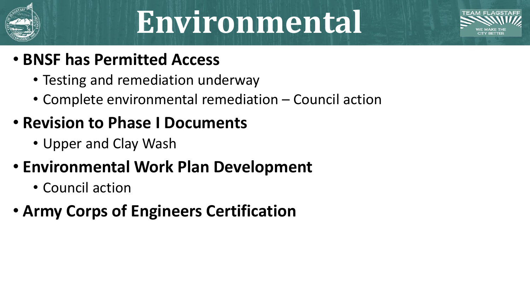

## **Environmental**



#### • **BNSF has Permitted Access**

- Testing and remediation underway
- Complete environmental remediation Council action

#### • **Revision to Phase I Documents**

• Upper and Clay Wash

#### • **Environmental Work Plan Development**

• Council action

#### • **Army Corps of Engineers Certification**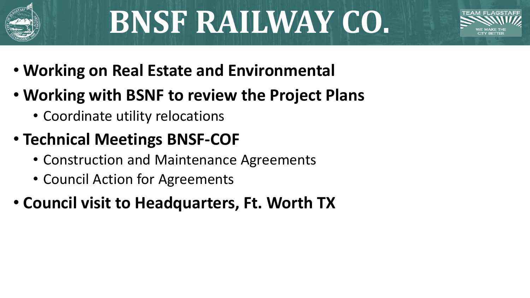

## **BNSF RAILWAY CO.**



- **Working on Real Estate and Environmental**
- **Working with BSNF to review the Project Plans**
	- Coordinate utility relocations
- **Technical Meetings BNSF-COF**
	- Construction and Maintenance Agreements
	- Council Action for Agreements
- **Council visit to Headquarters, Ft. Worth TX**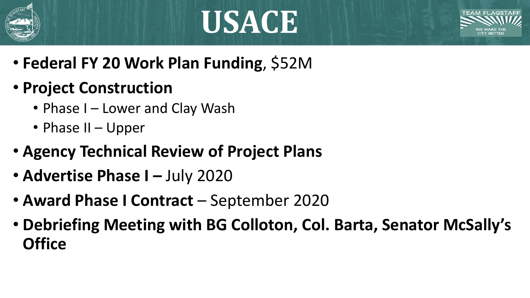





- **Federal FY 20 Work Plan Funding**, \$52M
- **Project Construction**
	- Phase I Lower and Clay Wash
	- Phase II Upper
- **Agency Technical Review of Project Plans**
- **Advertise Phase I July 2020**
- **Award Phase I Contract**  September 2020
- **Debriefing Meeting with BG Colloton, Col. Barta, Senator McSally's Office**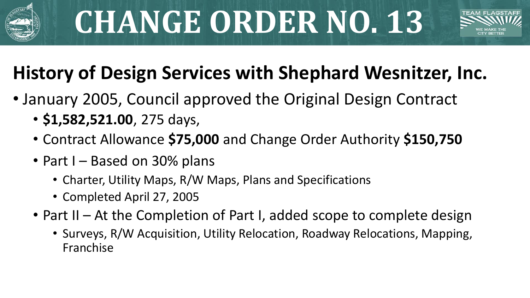



- January 2005, Council approved the Original Design Contract
	- **\$1,582,521.00**, 275 days,
	- Contract Allowance **\$75,000** and Change Order Authority **\$150,750**
	- Part I Based on 30% plans
		- Charter, Utility Maps, R/W Maps, Plans and Specifications
		- Completed April 27, 2005
	- Part II At the Completion of Part I, added scope to complete design
		- Surveys, R/W Acquisition, Utility Relocation, Roadway Relocations, Mapping, Franchise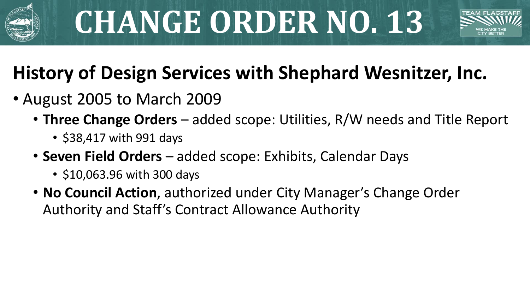





- August 2005 to March 2009
	- **Three Change Orders**  added scope: Utilities, R/W needs and Title Report
		- \$38,417 with 991 days
	- **Seven Field Orders**  added scope: Exhibits, Calendar Days
		- \$10,063.96 with 300 days
	- **No Council Action**, authorized under City Manager's Change Order Authority and Staff's Contract Allowance Authority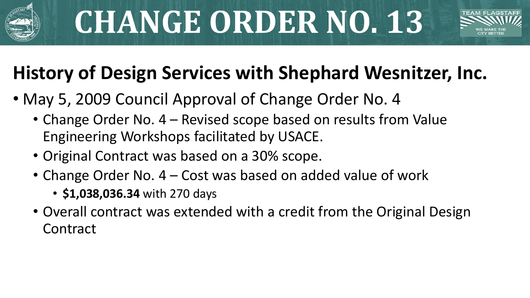



- May 5, 2009 Council Approval of Change Order No. 4
	- Change Order No. 4 Revised scope based on results from Value Engineering Workshops facilitated by USACE.
	- Original Contract was based on a 30% scope.
	- Change Order No. 4 Cost was based on added value of work
		- **\$1,038,036.34** with 270 days
	- Overall contract was extended with a credit from the Original Design Contract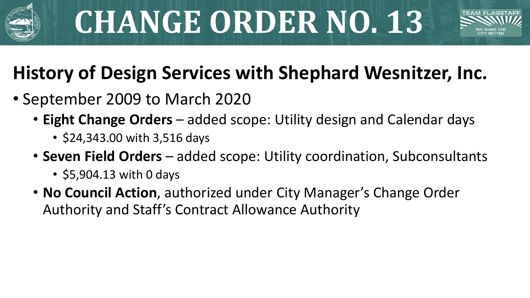





- September 2009 to March 2020
	- **Eight Change Orders**  added scope: Utility design and Calendar days
		- \$24,343.00 with 3,516 days
	- **Seven Field Orders**  added scope: Utility coordination, Subconsultants
		- \$5,904.13 with 0 days
	- **No Council Action**, authorized under City Manager's Change Order Authority and Staff's Contract Allowance Authority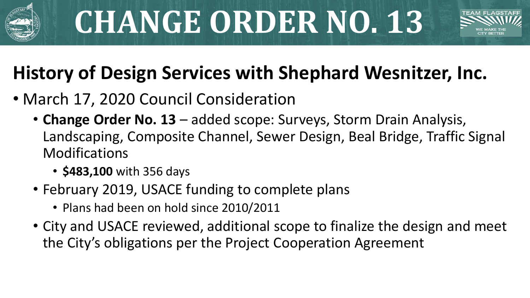



- March 17, 2020 Council Consideration
	- **Change Order No. 13**  added scope: Surveys, Storm Drain Analysis, Landscaping, Composite Channel, Sewer Design, Beal Bridge, Traffic Signal Modifications
		- **\$483,100** with 356 days
	- February 2019, USACE funding to complete plans
		- Plans had been on hold since 2010/2011
	- City and USACE reviewed, additional scope to finalize the design and meet the City's obligations per the Project Cooperation Agreement